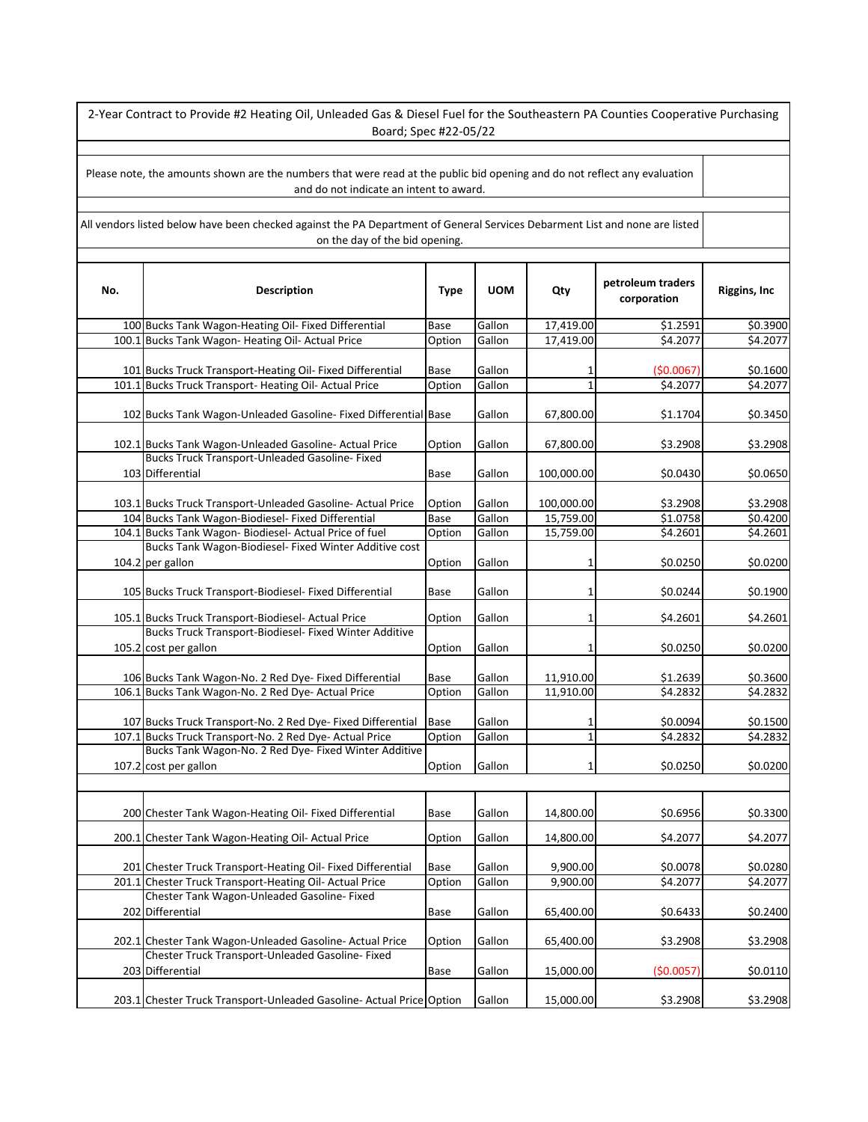2-Year Contract to Provide #2 Heating Oil, Unleaded Gas & Diesel Fuel for the Southeastern PA Counties Cooperative Purchasing Board; Spec #22-05/22

|     | Please note, the amounts shown are the numbers that were read at the public bid opening and do not reflect any evaluation<br>and do not indicate an intent to award. |                |                  |                        |                                  |                                  |
|-----|----------------------------------------------------------------------------------------------------------------------------------------------------------------------|----------------|------------------|------------------------|----------------------------------|----------------------------------|
|     |                                                                                                                                                                      |                |                  |                        |                                  |                                  |
|     | All vendors listed below have been checked against the PA Department of General Services Debarment List and none are listed<br>on the day of the bid opening.        |                |                  |                        |                                  |                                  |
| No. | <b>Description</b>                                                                                                                                                   | <b>Type</b>    | <b>UOM</b>       | Qty                    | petroleum traders<br>corporation | <b>Riggins, Inc.</b>             |
|     | 100 Bucks Tank Wagon-Heating Oil- Fixed Differential                                                                                                                 | Base           | Gallon           | 17,419.00              | \$1.2591                         | \$0.3900                         |
|     | 100.1 Bucks Tank Wagon- Heating Oil- Actual Price                                                                                                                    | Option         | Gallon           | 17,419.00              | \$4.2077                         | \$4.2077                         |
|     |                                                                                                                                                                      |                |                  |                        |                                  |                                  |
|     | 101 Bucks Truck Transport-Heating Oil- Fixed Differential                                                                                                            | Base           | Gallon           | 1                      | (50.0067)                        | \$0.1600                         |
|     | 101.1 Bucks Truck Transport- Heating Oil- Actual Price                                                                                                               | Option         | Gallon           | $\mathbf{1}$           | \$4.2077                         | \$4.2077                         |
|     | 102 Bucks Tank Wagon-Unleaded Gasoline- Fixed Differential Base                                                                                                      |                | Gallon           | 67,800.00              | \$1.1704                         | \$0.3450                         |
|     | 102.1 Bucks Tank Wagon-Unleaded Gasoline-Actual Price                                                                                                                | Option         | Gallon           | 67,800.00              | \$3.2908                         | \$3.2908                         |
|     | Bucks Truck Transport-Unleaded Gasoline- Fixed                                                                                                                       |                |                  |                        |                                  |                                  |
|     | 103 Differential                                                                                                                                                     | Base           | Gallon           | 100,000.00             | \$0.0430                         | \$0.0650                         |
|     |                                                                                                                                                                      |                |                  |                        |                                  |                                  |
|     | 103.1 Bucks Truck Transport-Unleaded Gasoline-Actual Price                                                                                                           | Option         | Gallon           | 100,000.00             | \$3.2908                         | \$3.2908                         |
|     | 104 Bucks Tank Wagon-Biodiesel- Fixed Differential                                                                                                                   | Base           | Gallon           | 15,759.00              | $\overline{$}1.0758$             | \$0.4200                         |
|     | 104.1 Bucks Tank Wagon- Biodiesel- Actual Price of fuel                                                                                                              | Option         | Gallon           | 15,759.00              | \$4.2601                         | \$4.2601                         |
|     | Bucks Tank Wagon-Biodiesel- Fixed Winter Additive cost<br>104.2 per gallon                                                                                           | Option         | Gallon           | 1                      | \$0.0250                         | \$0.0200                         |
|     | 105 Bucks Truck Transport-Biodiesel- Fixed Differential                                                                                                              | Base           | Gallon           | 1                      | \$0.0244                         | \$0.1900                         |
|     | 105.1 Bucks Truck Transport-Biodiesel- Actual Price                                                                                                                  | Option         | Gallon           | $\mathbf{1}$           | \$4.2601                         | \$4.2601                         |
|     | Bucks Truck Transport-Biodiesel- Fixed Winter Additive<br>105.2 cost per gallon                                                                                      | Option         | Gallon           | 1                      | \$0.0250                         | \$0.0200                         |
|     |                                                                                                                                                                      |                |                  |                        |                                  |                                  |
|     | 106 Bucks Tank Wagon-No. 2 Red Dye- Fixed Differential<br>106.1 Bucks Tank Wagon-No. 2 Red Dye- Actual Price                                                         | Base<br>Option | Gallon<br>Gallon | 11,910.00<br>11,910.00 | \$1.2639<br>\$4.2832             | \$0.3600<br>$\overline{54.2832}$ |
|     |                                                                                                                                                                      |                |                  |                        |                                  |                                  |
|     | 107 Bucks Truck Transport-No. 2 Red Dye- Fixed Differential                                                                                                          | <b>Base</b>    | Gallon           |                        | \$0.0094                         | \$0.1500                         |
|     | 107.1 Bucks Truck Transport-No. 2 Red Dye- Actual Price<br>Bucks Tank Wagon-No. 2 Red Dye- Fixed Winter Additive                                                     | Option         | Gallon           | $\mathbf{1}$           | \$4.2832                         | \$4.2832                         |
|     | 107.2 cost per gallon                                                                                                                                                |                | Gallon           |                        |                                  | \$0.0200                         |
|     |                                                                                                                                                                      | Option         |                  | 1                      | \$0.0250                         |                                  |
|     | 200 Chester Tank Wagon-Heating Oil- Fixed Differential                                                                                                               | Base           | Gallon           | 14,800.00              | \$0.6956                         | \$0.3300                         |
|     |                                                                                                                                                                      |                |                  |                        |                                  |                                  |
|     | 200.1 Chester Tank Wagon-Heating Oil- Actual Price                                                                                                                   | Option         | Gallon           | 14,800.00              | \$4.2077                         | \$4.2077                         |
|     | 201 Chester Truck Transport-Heating Oil- Fixed Differential                                                                                                          | <b>Base</b>    | Gallon           | 9,900.00               | \$0.0078                         | \$0.0280                         |
|     | 201.1 Chester Truck Transport-Heating Oil- Actual Price                                                                                                              | Option         | Gallon           | 9,900.00               | \$4.2077                         | \$4.2077                         |
|     | Chester Tank Wagon-Unleaded Gasoline- Fixed<br>202 Differential                                                                                                      | <b>Base</b>    | Gallon           | 65,400.00              | \$0.6433                         | \$0.2400                         |
|     | 202.1 Chester Tank Wagon-Unleaded Gasoline-Actual Price                                                                                                              | Option         | Gallon           | 65,400.00              | \$3.2908                         | \$3.2908                         |
|     | Chester Truck Transport-Unleaded Gasoline- Fixed<br>203 Differential                                                                                                 | Base           | Gallon           | 15,000.00              | (50.0057)                        | \$0.0110                         |
|     | 203.1 Chester Truck Transport-Unleaded Gasoline-Actual Price Option                                                                                                  |                | Gallon           | 15,000.00              | \$3.2908                         | \$3.2908                         |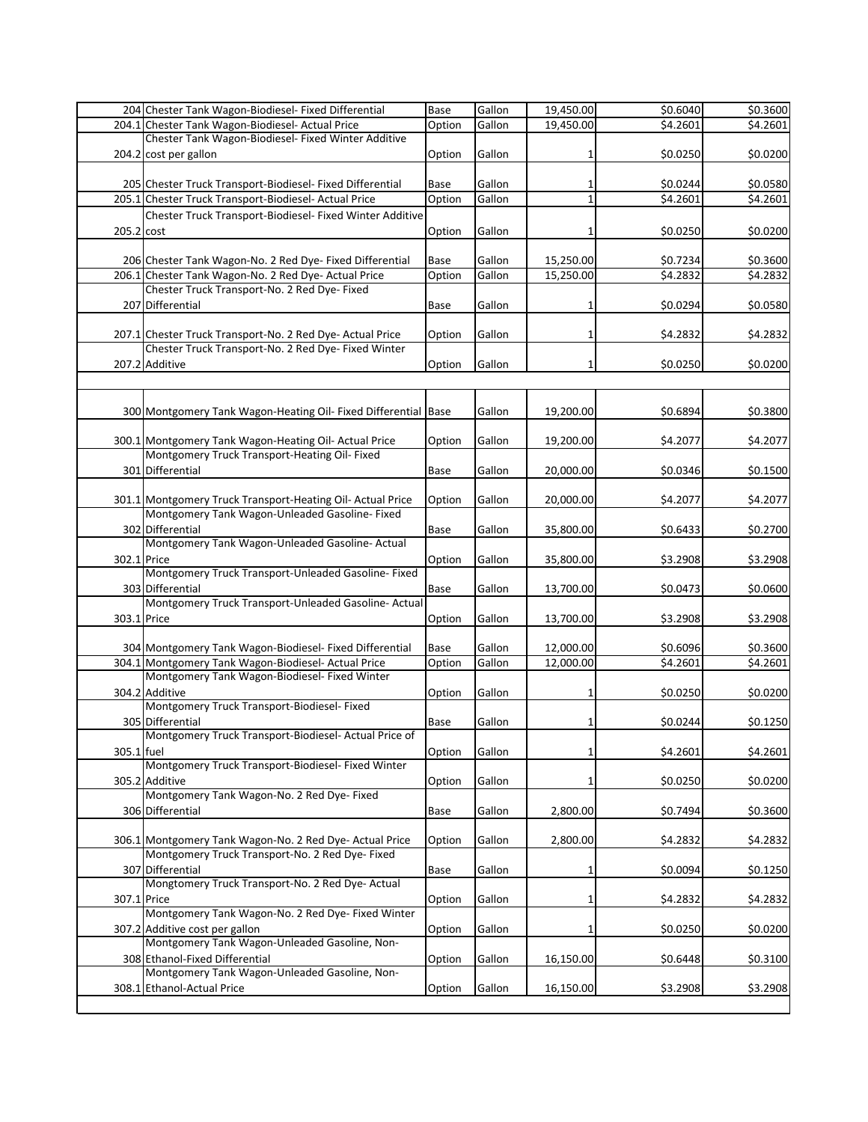|             | 204 Chester Tank Wagon-Biodiesel- Fixed Differential                                                       | Base   | Gallon | 19,450.00    | \$0.6040 | \$0.3600 |
|-------------|------------------------------------------------------------------------------------------------------------|--------|--------|--------------|----------|----------|
|             | 204.1 Chester Tank Wagon-Biodiesel- Actual Price                                                           | Option | Gallon | 19,450.00    | \$4.2601 | \$4.2601 |
|             | Chester Tank Wagon-Biodiesel- Fixed Winter Additive                                                        |        |        |              |          |          |
|             |                                                                                                            |        |        |              |          |          |
|             | 204.2 cost per gallon                                                                                      | Option | Gallon | 1            | \$0.0250 | \$0.0200 |
|             |                                                                                                            |        |        |              |          |          |
|             | 205 Chester Truck Transport-Biodiesel- Fixed Differential                                                  | Base   | Gallon |              | \$0.0244 | \$0.0580 |
|             | 205.1 Chester Truck Transport-Biodiesel- Actual Price                                                      | Option | Gallon | $\mathbf{1}$ | \$4.2601 | \$4.2601 |
|             | Chester Truck Transport-Biodiesel- Fixed Winter Additive                                                   |        |        |              |          |          |
| 205.2 cost  |                                                                                                            | Option | Gallon | 1            | \$0.0250 | \$0.0200 |
|             |                                                                                                            |        |        |              |          |          |
|             | 206 Chester Tank Wagon-No. 2 Red Dye- Fixed Differential                                                   | Base   | Gallon | 15,250.00    | \$0.7234 | \$0.3600 |
|             | 206.1 Chester Tank Wagon-No. 2 Red Dye- Actual Price                                                       |        | Gallon | 15,250.00    | \$4.2832 | \$4.2832 |
|             |                                                                                                            | Option |        |              |          |          |
|             | Chester Truck Transport-No. 2 Red Dye- Fixed                                                               |        |        |              |          |          |
|             | 207 Differential                                                                                           | Base   | Gallon | 1            | \$0.0294 | \$0.0580 |
|             |                                                                                                            |        |        |              |          |          |
|             | 207.1 Chester Truck Transport-No. 2 Red Dye- Actual Price                                                  | Option | Gallon | 1            | \$4.2832 | \$4.2832 |
|             | Chester Truck Transport-No. 2 Red Dye- Fixed Winter                                                        |        |        |              |          |          |
|             | 207.2 Additive                                                                                             | Option | Gallon |              | \$0.0250 | \$0.0200 |
|             |                                                                                                            |        |        |              |          |          |
|             |                                                                                                            |        |        |              |          |          |
|             |                                                                                                            |        |        |              |          |          |
|             | 300 Montgomery Tank Wagon-Heating Oil- Fixed Differential Base                                             |        | Gallon | 19,200.00    | \$0.6894 | \$0.3800 |
|             |                                                                                                            |        |        |              |          |          |
|             | 300.1 Montgomery Tank Wagon-Heating Oil-Actual Price                                                       | Option | Gallon | 19,200.00    | \$4.2077 | \$4.2077 |
|             | Montgomery Truck Transport-Heating Oil- Fixed                                                              |        |        |              |          |          |
|             | 301 Differential                                                                                           | Base   | Gallon | 20,000.00    | \$0.0346 | \$0.1500 |
|             |                                                                                                            |        |        |              |          |          |
|             | 301.1 Montgomery Truck Transport-Heating Oil- Actual Price                                                 | Option | Gallon | 20,000.00    | \$4.2077 | \$4.2077 |
|             | Montgomery Tank Wagon-Unleaded Gasoline- Fixed                                                             |        |        |              |          |          |
|             | 302 Differential                                                                                           | Base   | Gallon | 35,800.00    | \$0.6433 | \$0.2700 |
|             | Montgomery Tank Wagon-Unleaded Gasoline- Actual                                                            |        |        |              |          |          |
|             |                                                                                                            |        |        |              |          |          |
| 302.1 Price |                                                                                                            | Option | Gallon | 35,800.00    | \$3.2908 | \$3.2908 |
|             | Montgomery Truck Transport-Unleaded Gasoline- Fixed                                                        |        |        |              |          |          |
|             | 303 Differential                                                                                           | Base   | Gallon | 13,700.00    | \$0.0473 | \$0.0600 |
|             | Montgomery Truck Transport-Unleaded Gasoline-Actual                                                        |        |        |              |          |          |
| 303.1 Price |                                                                                                            | Option | Gallon | 13,700.00    | \$3.2908 | \$3.2908 |
|             |                                                                                                            |        |        |              |          |          |
|             | 304 Montgomery Tank Wagon-Biodiesel- Fixed Differential                                                    | Base   | Gallon | 12,000.00    | \$0.6096 | \$0.3600 |
| 304.1       | Montgomery Tank Wagon-Biodiesel- Actual Price                                                              | Option | Gallon | 12,000.00    | \$4.2601 | \$4.2601 |
|             | Montgomery Tank Wagon-Biodiesel- Fixed Winter                                                              |        |        |              |          |          |
|             | 304.2 Additive                                                                                             |        | Gallon | 1            | \$0.0250 | \$0.0200 |
|             | Montgomery Truck Transport-Biodiesel- Fixed                                                                | Option |        |              |          |          |
|             |                                                                                                            |        |        |              |          |          |
|             | 305 Differential                                                                                           | Base   | Gallon | 1            | \$0.0244 | \$0.1250 |
|             | Montgomery Truck Transport-Biodiesel- Actual Price of                                                      |        |        |              |          |          |
| 305.1 fuel  |                                                                                                            | Option | Gallon | 1            | \$4.2601 | \$4.2601 |
|             | Montgomery Truck Transport-Biodiesel- Fixed Winter                                                         |        |        |              |          |          |
|             | 305.2 Additive                                                                                             | Option | Gallon | 1            | \$0.0250 | \$0.0200 |
|             | Montgomery Tank Wagon-No. 2 Red Dye- Fixed                                                                 |        |        |              |          |          |
|             | 306 Differential                                                                                           | Base   | Gallon | 2,800.00     | \$0.7494 | \$0.3600 |
|             |                                                                                                            |        |        |              |          |          |
|             |                                                                                                            |        |        |              |          |          |
|             | 306.1 Montgomery Tank Wagon-No. 2 Red Dye- Actual Price<br>Montgomery Truck Transport-No. 2 Red Dye- Fixed | Option | Gallon | 2,800.00     | \$4.2832 | \$4.2832 |
|             |                                                                                                            |        |        |              |          |          |
|             | 307 Differential                                                                                           | Base   | Gallon |              | \$0.0094 | \$0.1250 |
|             | Mongtomery Truck Transport-No. 2 Red Dye- Actual                                                           |        |        |              |          |          |
| 307.1       | Price                                                                                                      | Option | Gallon | 1            | \$4.2832 | \$4.2832 |
|             | Montgomery Tank Wagon-No. 2 Red Dye- Fixed Winter                                                          |        |        |              |          |          |
|             | 307.2 Additive cost per gallon                                                                             | Option | Gallon |              | \$0.0250 | \$0.0200 |
|             | Montgomery Tank Wagon-Unleaded Gasoline, Non-                                                              |        |        |              |          |          |
|             | 308 Ethanol-Fixed Differential                                                                             | Option | Gallon | 16,150.00    | \$0.6448 | \$0.3100 |
|             | Montgomery Tank Wagon-Unleaded Gasoline, Non-                                                              |        |        |              |          |          |
|             |                                                                                                            |        |        |              |          |          |
|             | 308.1 Ethanol-Actual Price                                                                                 | Option | Gallon | 16,150.00    | \$3.2908 | \$3.2908 |
|             |                                                                                                            |        |        |              |          |          |